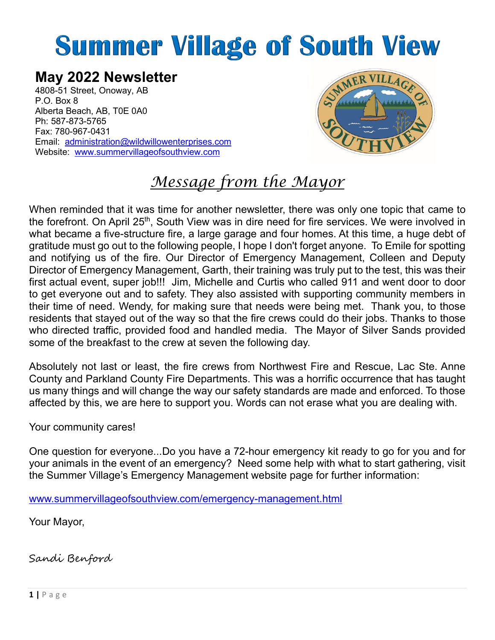# **Summer Village of South View**

# **May 2022 Newsletter**

4808-51 Street, Onoway, AB P.O. Box 8 Alberta Beach, AB, T0E 0A0 Ph: 587-873-5765 Fax: 780-967-0431 Email: [administration@wildwillowenterprises.com](mailto:administration@wildwillowenterprises.com) Website: [www.summervillageofsouthview.com](http://www.summervillageofsouthview.com/)



# *Message from the Mayor*

When reminded that it was time for another newsletter, there was only one topic that came to the forefront. On April 25<sup>th</sup>, South View was in dire need for fire services. We were involved in what became a five-structure fire, a large garage and four homes. At this time, a huge debt of gratitude must go out to the following people, I hope I don't forget anyone. To Emile for spotting and notifying us of the fire. Our Director of Emergency Management, Colleen and Deputy Director of Emergency Management, Garth, their training was truly put to the test, this was their first actual event, super job!!! Jim, Michelle and Curtis who called 911 and went door to door to get everyone out and to safety. They also assisted with supporting community members in their time of need. Wendy, for making sure that needs were being met. Thank you, to those residents that stayed out of the way so that the fire crews could do their jobs. Thanks to those who directed traffic, provided food and handled media. The Mayor of Silver Sands provided some of the breakfast to the crew at seven the following day.

Absolutely not last or least, the fire crews from Northwest Fire and Rescue, Lac Ste. Anne County and Parkland County Fire Departments. This was a horrific occurrence that has taught us many things and will change the way our safety standards are made and enforced. To those affected by this, we are here to support you. Words can not erase what you are dealing with.

Your community cares!

One question for everyone...Do you have a 72-hour emergency kit ready to go for you and for your animals in the event of an emergency? Need some help with what to start gathering, visit the Summer Village's Emergency Management website page for further information:

[www.summervillageofsouthview.com/emergency-management.html](http://www.summervillageofsouthview.com/emergency-management.html)

Your Mayor,

Sandi Benford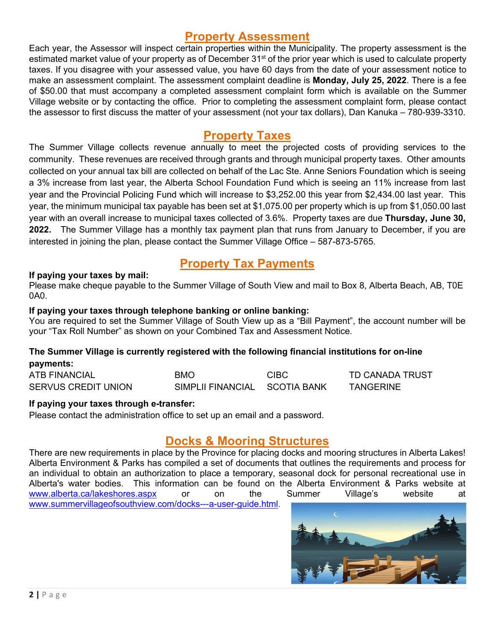# **Property Assessment**

Each year, the Assessor will inspect certain properties within the Municipality. The property assessment is the estimated market value of your property as of December 31<sup>st</sup> of the prior year which is used to calculate property taxes. If you disagree with your assessed value, you have 60 days from the date of your assessment notice to make an assessment complaint. The assessment complaint deadline is **Monday, July 25, 2022**. There is a fee of \$50.00 that must accompany a completed assessment complaint form which is available on the Summer Village website or by contacting the office. Prior to completing the assessment complaint form, please contact the assessor to first discuss the matter of your assessment (not your tax dollars), Dan Kanuka – 780-939-3310.

# **Property Taxes**

The Summer Village collects revenue annually to meet the projected costs of providing services to the community. These revenues are received through grants and through municipal property taxes. Other amounts collected on your annual tax bill are collected on behalf of the Lac Ste. Anne Seniors Foundation which is seeing a 3% increase from last year, the Alberta School Foundation Fund which is seeing an 11% increase from last year and the Provincial Policing Fund which will increase to \$3,252.00 this year from \$2,434.00 last year. This year, the minimum municipal tax payable has been set at \$1,075.00 per property which is up from \$1,050.00 last year with an overall increase to municipal taxes collected of 3.6%. Property taxes are due **Thursday, June 30, 2022.** The Summer Village has a monthly tax payment plan that runs from January to December, if you are interested in joining the plan, please contact the Summer Village Office – 587-873-5765.

# **Property Tax Payments**

#### **If paying your taxes by mail:**

Please make cheque payable to the Summer Village of South View and mail to Box 8, Alberta Beach, AB, T0E 0A0.

#### **If paying your taxes through telephone banking or online banking:**

You are required to set the Summer Village of South View up as a "Bill Payment", the account number will be your "Tax Roll Number" as shown on your Combined Tax and Assessment Notice.

#### **The Summer Village is currently registered with the following financial institutions for on-line payments:**

| <b>ATB FINANCIAL</b> | <b>BMO</b>                    | <b>CIBC</b> | TD CANADA TRUST  |
|----------------------|-------------------------------|-------------|------------------|
| SERVUS CREDIT UNION  | SIMPLII FINANCIAL SCOTIA BANK |             | <b>TANGERINE</b> |

#### **If paying your taxes through e-transfer:**

Please contact the administration office to set up an email and a password.

# **Docks & Mooring Structures**

There are new requirements in place by the Province for placing docks and mooring structures in Alberta Lakes! Alberta Environment & Parks has compiled a set of documents that outlines the requirements and process for an individual to obtain an authorization to place a temporary, seasonal dock for personal recreational use in Alberta's water bodies. This information can be found on the Alberta Environment & Parks website at [www.alberta.ca/lakeshores.aspx](http://www.alberta.ca/lakeshores.aspx) or on the Summer Village's website at [www.summervillageofsouthview.com/docks---a-user-guide.html.](http://www.summervillageofsouthview.com/docks---a-user-guide.html)

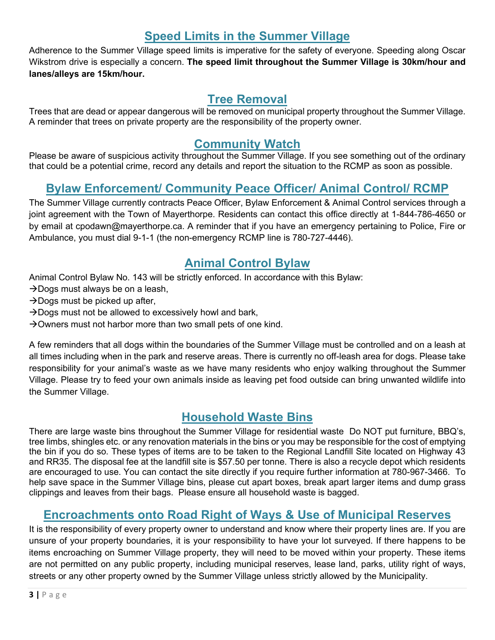# **Speed Limits in the Summer Village**

Adherence to the Summer Village speed limits is imperative for the safety of everyone. Speeding along Oscar Wikstrom drive is especially a concern. **The speed limit throughout the Summer Village is 30km/hour and lanes/alleys are 15km/hour.** 

# **Tree Removal**

Trees that are dead or appear dangerous will be removed on municipal property throughout the Summer Village. A reminder that trees on private property are the responsibility of the property owner.

# **Community Watch**

Please be aware of suspicious activity throughout the Summer Village. If you see something out of the ordinary that could be a potential crime, record any details and report the situation to the RCMP as soon as possible.

# **Bylaw Enforcement/ Community Peace Officer/ Animal Control/ RCMP**

The Summer Village currently contracts Peace Officer, Bylaw Enforcement & Animal Control services through a joint agreement with the Town of Mayerthorpe. Residents can contact this office directly at 1-844-786-4650 or by email at cpodawn@mayerthorpe.ca. A reminder that if you have an emergency pertaining to Police, Fire or Ambulance, you must dial 9-1-1 (the non-emergency RCMP line is 780-727-4446).

# **Animal Control Bylaw**

Animal Control Bylaw No. 143 will be strictly enforced. In accordance with this Bylaw:

- $\rightarrow$  Dogs must always be on a leash,
- $\rightarrow$  Dogs must be picked up after,
- $\rightarrow$  Dogs must not be allowed to excessively howl and bark,
- $\rightarrow$  Owners must not harbor more than two small pets of one kind.

A few reminders that all dogs within the boundaries of the Summer Village must be controlled and on a leash at all times including when in the park and reserve areas. There is currently no off-leash area for dogs. Please take responsibility for your animal's waste as we have many residents who enjoy walking throughout the Summer Village. Please try to feed your own animals inside as leaving pet food outside can bring unwanted wildlife into the Summer Village.

# **Household Waste Bins**

There are large waste bins throughout the Summer Village for residential waste Do NOT put furniture, BBQ's, tree limbs, shingles etc. or any renovation materials in the bins or you may be responsible for the cost of emptying the bin if you do so. These types of items are to be taken to the Regional Landfill Site located on Highway 43 and RR35. The disposal fee at the landfill site is \$57.50 per tonne. There is also a recycle depot which residents are encouraged to use. You can contact the site directly if you require further information at 780-967-3466. To help save space in the Summer Village bins, please cut apart boxes, break apart larger items and dump grass clippings and leaves from their bags. Please ensure all household waste is bagged.

# **Encroachments onto Road Right of Ways & Use of Municipal Reserves**

It is the responsibility of every property owner to understand and know where their property lines are. If you are unsure of your property boundaries, it is your responsibility to have your lot surveyed. If there happens to be items encroaching on Summer Village property, they will need to be moved within your property. These items are not permitted on any public property, including municipal reserves, lease land, parks, utility right of ways, streets or any other property owned by the Summer Village unless strictly allowed by the Municipality.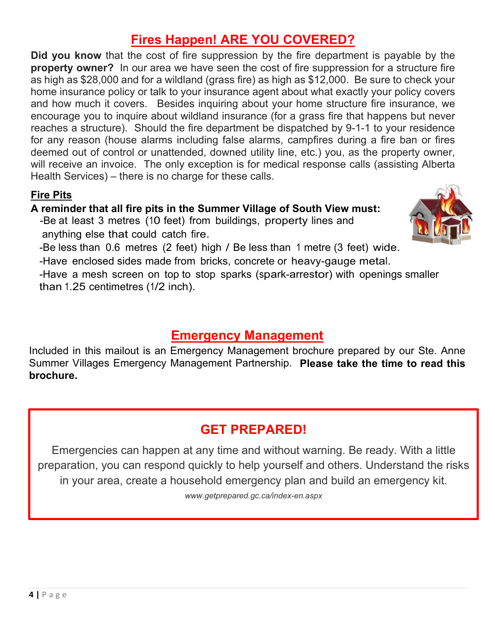# **Fires Happen! ARE YOU COVERED?**

**Did you know** that the cost of fire suppression by the fire department is payable by the **property owner?** In our area we have seen the cost of fire suppression for a structure fire as high as \$28,000 and for a wildland (grass fire) as high as \$12,000. Be sure to check your home insurance policy or talk to your insurance agent about what exactly your policy covers and how much it covers. Besides inquiring about your home structure fire insurance, we encourage you to inquire about wildland insurance (for a grass fire that happens but never reaches a structure). Should the fire department be dispatched by 9-1-1 to your residence for any reason (house alarms including false alarms, campfires during a fire ban or fires deemed out of control or unattended, downed utility line, etc.) you, as the property owner, will receive an invoice. The only exception is for medical response calls (assisting Alberta Health Services) – there is no charge for these calls.

# **Fire Pits**

#### **A reminder that all fire pits in the Summer Village of South View must:**

-Be at least 3 metres (10 feet) from buildings, property lines and anything else that could catch fire.



-Be less than 0.6 metres (2 feet) high / Be less than 1 metre (3 feet) wide.

-Have enclosed sides made from bricks, concrete or heavy-gauge metal.

-Have a mesh screen on top to stop sparks (spark-arrestor) with openings smaller than 1.25 centimetres (1/2 inch).

# **Emergency Management**

Included in this mailout is an Emergency Management brochure prepared by our Ste. Anne Summer Villages Emergency Management Partnership. **Please take the time to read this brochure.**

# **GET PREPARED!**

Emergencies can happen at any time and without warning. Be ready. With a little preparation, you can respond quickly to help yourself and others. Understand the risks in your area, create a household emergency plan and build an emergency kit.

*www.getprepared.gc.ca/index-en.aspx*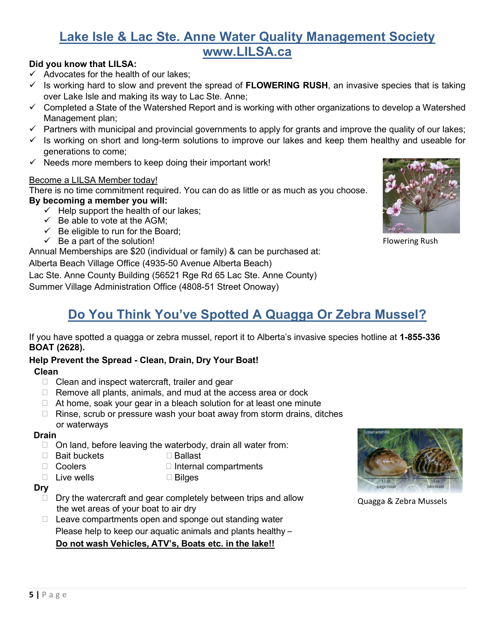# **Lake Isle & Lac Ste. Anne Water Quality Management Society www.LILSA.ca**

#### **Did you know that LILSA:**

- $\checkmark$  Advocates for the health of our lakes:
- $\checkmark$  Is working hard to slow and prevent the spread of **FLOWERING RUSH**, an invasive species that is taking over Lake Isle and making its way to Lac Ste. Anne;
- $\checkmark$  Completed a State of the Watershed Report and is working with other organizations to develop a Watershed Management plan;
- $\checkmark$  Partners with municipal and provincial governments to apply for grants and improve the quality of our lakes;
- $\checkmark$  Is working on short and long-term solutions to improve our lakes and keep them healthy and useable for generations to come;
- $\checkmark$  Needs more members to keep doing their important work!

#### Become a LILSA Member today!

There is no time commitment required. You can do as little or as much as you choose. **By becoming a member you will:**

- $\checkmark$  Help support the health of our lakes:
	- $\checkmark$  Be able to vote at the AGM;
	- $\checkmark$  Be eligible to run for the Board;
	- $\checkmark$  Be a part of the solution!

Annual Memberships are \$20 (individual or family) & can be purchased at:

Alberta Beach Village Office (4935-50 Avenue Alberta Beach)

Lac Ste. Anne County Building (56521 Rge Rd 65 Lac Ste. Anne County)

Summer Village Administration Office (4808-51 Street Onoway)



Flowering Rush

# **Do You Think You've Spotted A Quagga Or Zebra Mussel?**

If you have spotted a quagga or zebra mussel, report it to Alberta's invasive species hotline at **1-855-336 BOAT (2628).**

#### **Help Prevent the Spread - Clean, Drain, Dry Your Boat!**

#### **Clean**

- $\Box$  Clean and inspect watercraft, trailer and gear
- $\Box$  Remove all plants, animals, and mud at the access area or dock
- $\Box$  At home, soak your gear in a bleach solution for at least one minute
- $\Box$  Rinse, scrub or pressure wash your boat away from storm drains, ditches or waterways

#### **Drain**

- $\Box$  On land, before leaving the waterbody, drain all water from:
- □ Bait buckets Ballast
- □ Coolers □ Internal compartments
- $\Box$  Live wells  $\Box$  Bilges
- 

#### **Dry**

- $\Box$  Dry the watercraft and gear completely between trips and allow the wet areas of your boat to air dry
- $\Box$  Leave compartments open and sponge out standing water Please help to keep our aquatic animals and plants healthy – **Do not wash Vehicles, ATV's, Boats etc. in the lake!!**



Quagga & Zebra Mussels